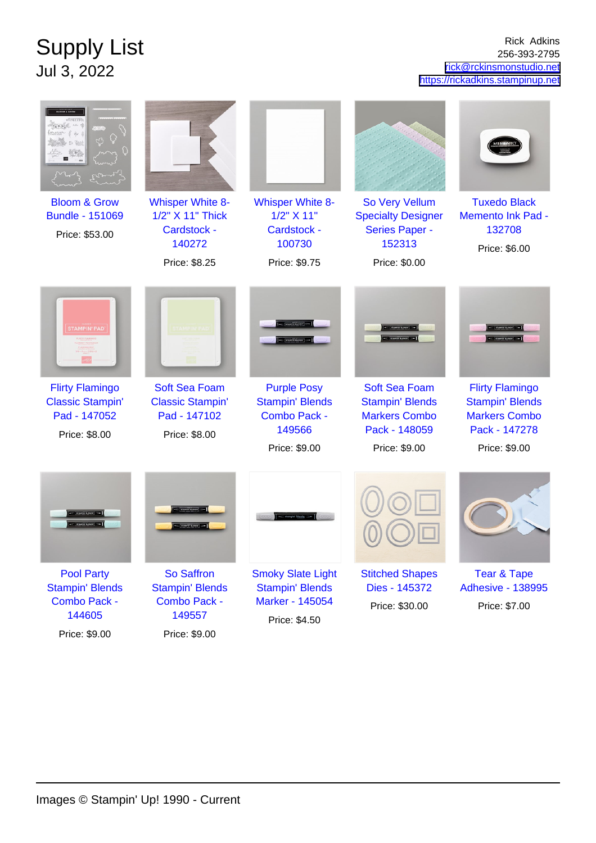## Supply List Jul 3, 2022

Rick Adkins 256-393-2795 [rick@rckinsmonstudio.net](mailto:rick@rckinsmonstudio.net) <https://rickadkins.stampinup.net>

| <b>Bloom &amp; Grow</b><br><b>Bundle - 151069</b><br>Price: \$53.00                | <b>Whisper White 8-</b><br>1/2" X 11" Thick<br>Cardstock -<br>140272<br>Price: \$8.25 | <b>Whisper White 8-</b><br>1/2" X 11"<br><b>Cardstock -</b><br>100730<br>Price: \$9.75  | So Very Vellum<br><b>Specialty Designer</b><br><b>Series Paper -</b><br>152313<br>Price: \$0.00          | <b>Tuxedo Black</b><br><b>Memento Ink Pad -</b><br>132708<br>Price: \$6.00                                 |
|------------------------------------------------------------------------------------|---------------------------------------------------------------------------------------|-----------------------------------------------------------------------------------------|----------------------------------------------------------------------------------------------------------|------------------------------------------------------------------------------------------------------------|
| <b>STAMPIN' PAD</b>                                                                |                                                                                       |                                                                                         |                                                                                                          |                                                                                                            |
| <b>Flirty Flamingo</b><br><b>Classic Stampin'</b><br>Pad - 147052<br>Price: \$8.00 | <b>Soft Sea Foam</b><br><b>Classic Stampin'</b><br>Pad - 147102<br>Price: \$8.00      | <b>Purple Posy</b><br><b>Stampin' Blends</b><br>Combo Pack -<br>149566<br>Price: \$9.00 | <b>Soft Sea Foam</b><br><b>Stampin' Blends</b><br><b>Markers Combo</b><br>Pack - 148059<br>Price: \$9.00 | <b>Flirty Flamingo</b><br><b>Stampin' Blends</b><br><b>Markers Combo</b><br>Pack - 147278<br>Price: \$9.00 |
|                                                                                    |                                                                                       |                                                                                         |                                                                                                          |                                                                                                            |
| <b>Pool Party</b><br><b>Stampin' Blends</b><br>Combo Pack -<br>144605              | <b>So Saffron</b><br><b>Stampin' Blends</b><br><b>Combo Pack -</b><br>149557          | <b>Smoky Slate Light</b><br><b>Stampin' Blends</b><br>Marker - 145054<br>Price: \$4.50  | <b>Stitched Shapes</b><br>Dies - 145372<br>Price: \$30.00                                                | <b>Tear &amp; Tape</b><br><b>Adhesive - 138995</b><br>Price: \$7.00                                        |

Price: \$9.00

Price: \$9.00